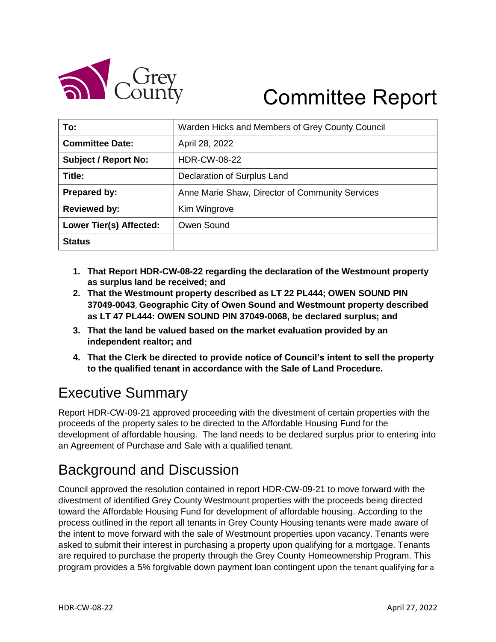

# Committee Report

| To:                         | Warden Hicks and Members of Grey County Council |
|-----------------------------|-------------------------------------------------|
| <b>Committee Date:</b>      | April 28, 2022                                  |
| <b>Subject / Report No:</b> | <b>HDR-CW-08-22</b>                             |
| Title:                      | Declaration of Surplus Land                     |
| Prepared by:                | Anne Marie Shaw, Director of Community Services |
| <b>Reviewed by:</b>         | Kim Wingrove                                    |
| Lower Tier(s) Affected:     | Owen Sound                                      |
| <b>Status</b>               |                                                 |

- **1. That Report HDR-CW-08-22 regarding the declaration of the Westmount property as surplus land be received; and**
- **2. That the Westmount property described as LT 22 PL444; OWEN SOUND PIN 37049-0043**, **Geographic City of Owen Sound and Westmount property described as LT 47 PL444: OWEN SOUND PIN 37049-0068, be declared surplus; and**
- **3. That the land be valued based on the market evaluation provided by an independent realtor; and**
- **4. That the Clerk be directed to provide notice of Council's intent to sell the property to the qualified tenant in accordance with the Sale of Land Procedure.**

# Executive Summary

Report HDR-CW-09-21 approved proceeding with the divestment of certain properties with the proceeds of the property sales to be directed to the Affordable Housing Fund for the development of affordable housing. The land needs to be declared surplus prior to entering into an Agreement of Purchase and Sale with a qualified tenant.

## Background and Discussion

Council approved the resolution contained in report HDR-CW-09-21 to move forward with the divestment of identified Grey County Westmount properties with the proceeds being directed toward the Affordable Housing Fund for development of affordable housing. According to the process outlined in the report all tenants in Grey County Housing tenants were made aware of the intent to move forward with the sale of Westmount properties upon vacancy. Tenants were asked to submit their interest in purchasing a property upon qualifying for a mortgage. Tenants are required to purchase the property through the Grey County Homeownership Program. This program provides a 5% forgivable down payment loan contingent upon the tenant qualifying for a